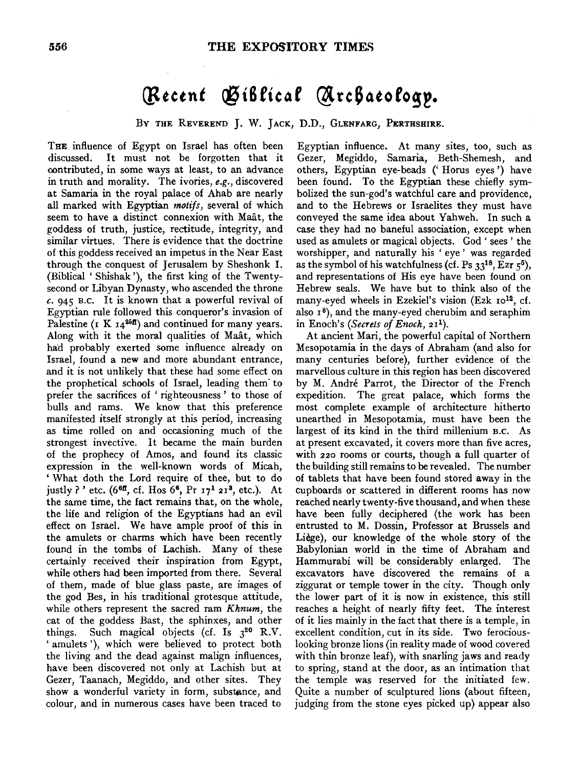## (Recent Giblical Archaeology.

BY THE REVEREND J. W. JACK, D.D., GLENFARG, PERTHSHIRE.

THE influence of Egypt on Israel has often been discussed. It must not be forgotten that it oontributed, in some ways at least, to an advance in truth and morality. The ivories, *e.g.,* discovered at Samaria in the royal palace of Ahab are nearly all marked with Egyptian *motifs,* several of which seem to have a distinct connexion with Maat, the goddess of truth, justice, rectitude, integrity, and similar virtues. There is evidence that the doctrine of this goddess received an impetus in the Near East through the conquest of Jerusalem by Sheshonk I. (Biblical ' Shishak '), the first king of the Twentysecond or Libyan Dynasty, who ascended the throne *c.* 945 B.c. It is known that a powerful revival of Egyptian rule followed this conqueror's invasion of Palestine ( $K I_4^{25f}$ ) and continued for many years. Along with it the moral qualities of Maat, which ha'd probably exerted some influence already on Israel, found a new and more abundant entrance, and it is not unlikely that these had some effect on the prophetical schools of Israel, leading them· to prefer the sacrifices of ' righteousness ' to those of bulls and rams. We know that this preference manifested itself strongly at this period, increasing as time rolled on and occasioning much of the strongest invective. It became the main burden of the prophecy of Amos, and found its classic expression in the well-known words of Micah, ' What doth the Lord require of thee, but to do justly ?' etc. (6<sup>6ff</sup>, cf. Hos 6<sup>6</sup>, Pr  $17^1 21^3$ , etc.). At the same time, the fact remains that, on the whole, the life and religion of the Egyptians had an evil effect on Israel. We have ample proof of this in the amulets or charms which have been recently found in the tombs of Lachish. Many of these certainly received their inspiration from Egypt, while others had been imported from there. Several of them, made of blue glass paste, are images of the god Bes, in his traditional grotesque attitude, while others represent the sacred ram *Khnum,* the cat of the goddess Bast, the sphinxes, and other things. Such magical objects (cf. Is  $3^{20}$  R.V. ' amulets '), which were believed to protect both the living and the dead against malign influences, have been discovered not only at Lachish but at Gezer, Taanach, Megiddo, and other sites. They show a wonderful variety in form, substance, and colour, and in numerous cases have been traced to

Egyptian influence. At many sites, too, such as Gezer, Megiddo, Samaria, Beth-Shemesh, and others, Egyptian eye-beads (' Horus eyes') have been found. To the Egyptian these chiefly symbolized the sun-god's watchful care and providence, and to the Hebrews or Israelites they must have conveyed the same idea about Yahweh. In such a case they had no baneful association, except when used as amulets or magical objects. God ' sees ' the worshipper, and naturally his 'eye' was regarded as the symbol of his watchfulness (cf. Ps  $33^{18}$ , Ezr  $5^5$ ), and representations of His eye have been found on Hebrew seals. We have but to think also of the many-eyed wheels in Ezekiel's vision (Ezk ro<sup>12</sup>, cf. also  $1<sup>8</sup>$ ), and the many-eyed cherubim and seraphim in Enoch's *(Secrets of Enoch,* 211).

At ancient Mari, the powerful capital of Northern Mesopotamia in the days of Abraham (and also for many centuries before), further evidence of the marvellous culture in this region has been discovered by M. Andre Parrot, the Director of the French expedition. The great palace, which forms the most complete example of architecture hitherto unearthed in Mesopotamia, must have been the largest of its kind in the third millenium B.C. As at present excavated, it covers more than five acres, with 220 rooms or courts, though a full quarter of the building still remains to be revealed. The number of tablets that have been found stored away in the cupboards or scattered in different rooms has now reached nearly twenty-five thousand, and when these have been fully deciphered (the work has been entrusted to M. Dossin, Professor at Brussels and Liege), our knowledge of the whole story of the Babylonian world in the time of Abraham and Hammurabi will be considerably enlarged. The excavators have discovered the remains of a ziggurat or temple tower in the city. Though only the lower part of it is now in existence, this still reaches a height of nearly fifty feet. The interest of it lies mainly in the fact that there is a temple, in excellent condition, cut in its side. Two ferociouslooking bronze lions (in reality made of wood covered with thin bronze leaf), with snarling jaws and ready to spring, stand at the door, as an intimation that the temple was reserved for the initiated few. Quite a number of sculptured lions (about fifteen, judging from the stone eyes picked up) appear also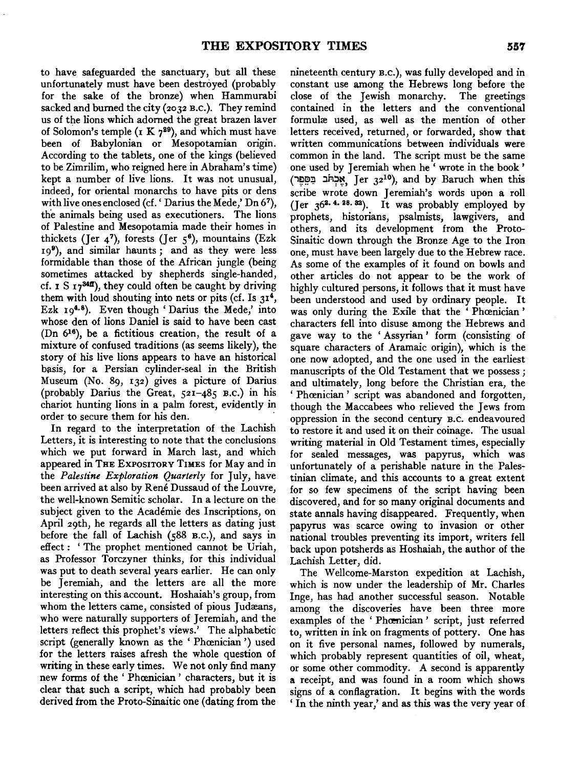to have safeguarded the sanctuary, but all these unfortunately must have been destroyed (probably for the sake of the bronze) when Hammurabi sacked and burned the city (2032 B.c.). They remind us of the lions which adorned the great brazen laver of Solomon's temple (1 K  $7^{29}$ ), and which must have been of Babylonian or Mesopotamian origin. According to the tablets, one of the kings (believed to be Zimrilim, who reigned here in Abraham's time) kept a number of live lions. It was not unusual, indeed, for oriental monarchs to have pits or dens with live ones enclosed (cf.' Darius the Mede,' Dn 67), the animals being used as executioners. The lions of Palestine and Mesopotamia made their homes in thickets (Jer  $4^7$ ), forests (Jer  $5^6$ ), mountains (Ezk 199), and similar haunts ; and as they were less formidable than those of the African jungle (being sometimes attacked by shepherds single-handed, cf.  $\mathbf{r} \mathbf{S} \mathbf{r}$   $\mathbf{y}$ <sup>34</sup>, they could often be caught by driving them with loud shouting into nets or pits (cf. Is  $31<sup>4</sup>$ , Ezk  $19^{4.8}$ ). Even though 'Darius the Mede,' into whose den of lions Daniel is said to have been cast (Dn 616), be a fictitious creation, the result of a mixture of confused traditions (as seems likely), the story of his live lions appears to have an historical basis, for a Persian cylinder-seal in the British Museum (No. 89, 132) gives a picture of Darius (probably Darius the Great, 521-485 B.c.) in his chariot hunting lions in a palm forest, evidently in order to secure them for his den.

In regard to the interpretation of the Lachish Letters, it is interesting to note that the conclusions which we put forward in March last, and which appeared in THE EXPOSITORY TIMES for May and in the *Palestine Exploration Quarterly* for July, have been arrived at also by René Dussaud of the Louvre, the well-known Semitic scholar. In a lecture on the subject given to the Academie des Inscriptions, on April 29th, he regards all the letters as dating just before the fall of Lachish (588 B.c.), and says in effect: 'The prophet mentioned cannot be Uriah, as Professor Torczyner thinks, for this individual was put to death several years earlier. He can only be Jeremiah, and the letters are all the more interesting on this account. Hoshaiah's group, from whom the letters came, consisted of pious Judæans, who were naturally supporters of Jeremiah, and the letters reflect this prophet's views.' The alphabetic script (generally known as the 'Phoenician') used for the letters raises afresh the whole question of writing in these early times. We not only find many new forms of the 'Phœnician' characters, but it is clear that such a script, which had probably been derived from the Proto-Sinaitic one (dating from the

nineteenth century B.c.), was fully developed and in constant use among the Hebrews long before the close of the Jewish monarchy. The greetings contained in the letters and the conventional formulæ used, as well as the mention of other letters received, returned, or forwarded, show that written communications between individuals were common in the land. The script must be the same one used by Jeremiah when he ' wrote in the book ' (יַאֲכְהֹּב בַּסְפֵר, Jer  $32^{10}$ ), and by Baruch when this scribe wrote down Jeremiah's words upon a roll (Jer 36<sup>2. 4. 28. 32). It was probably employed by</sup> prophets, historians, psalmists, lawgivers, and others, and its development from the Proto-Sinaitic down through the Bronze Age to the Iron one, must have been largely due to the Hebrew race. As some of the examples of it found on bowls and other articles do not appear to be the work of highly cultured persons, it follows that it must have been understood and used by ordinary people. It was only during the Exile that the 'Phœnician' characters fell into disuse among the Hebrews and gave way to the 'Assyrian' form (consisting of square characters of Aramaic origin), which is the one now adopted, and the one used in the earliest manuscripts of the Old Testament that we possess ; and ultimately, long before the Christian era, the 'Phœnician' script was abandoned and forgotten, though the Maccabees who relieved the Jews from oppression in the second century B.C. endeavoured to restore it and used it on their coinage. The usual writing material in Old Testament times, especially for sealed messages, was papyrus, which was unfortunately of a perishable nature in the Palestinian climate, and this accounts to a great extent for so few specimens of the script having been discovered, and for so many original documents and state annals having disappeared. Frequently, when papyrus was scarce owing to invasion or other national troubles preventing its import, writers fell back upon potsherds as Hoshaiah, the author of the Lachish Letter, did.

The Wellcome-Marston expedition at Lachish, which is now under the leadership of Mr. Charles Inge, has had another successful season. Notable among the discoveries have been three more examples of the 'Phoenician' script, just referred to, written in ink on fragments of pottery. One has on it five personal names, followed by numerals, which probably represent quantities of oil, wheat, or some other commodity. A second is apparently a receipt, and was found in a room which shows signs of a conflagration. It begins with the words ' In the ninth year,' and as this was the very year of